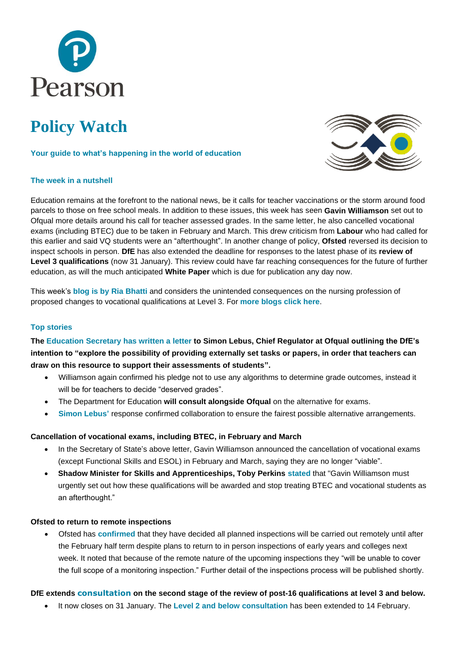

# **Policy Watch**

#### **Your guide to what's happening in the world of education**



#### **The week in a nutshell**

Education remains at the forefront to the national news, be it calls for teacher vaccinations or the storm around food parcels to those on free school meals. In addition to these issues, this week has seen **Gavin Williamson** set out to Ofqual more details around his call for teacher assessed grades. In the same letter, he also cancelled vocational exams (including BTEC) due to be taken in February and March. This drew criticism from **Labour** who had called for this earlier and said VQ students were an "afterthought". In another change of policy, **Ofsted** reversed its decision to inspect schools in person. **DfE** has also extended the deadline for responses to the latest phase of its **review of Level 3 qualifications** (now 31 January). This review could have far reaching consequences for the future of further education, as will the much anticipated **White Paper** which is due for publication any day now.

This week's **blog is by [Ria Bhatti](https://www.pearson.com/uk/about-us/news-and-policy/blogs.html)** and considers the unintended consequences on the nursing profession of proposed changes to vocational qualifications at Level 3. For **[more blogs click here](https://www.pearson.com/uk/about-us/news-and-policy/blogs.html)**.

#### **Top stories**

**The [Education Secretary](https://www.gov.uk/government/publications/letter-from-gavin-williamson-to-simon-lebus) has written a letter to Simon Lebus, Chief Regulator at Ofqual outlining the DfE's intention to "explore the possibility of providing externally set tasks or papers, in order that teachers can draw on this resource to support their assessments of students".**

- Williamson again confirmed his pledge not to use any algorithms to determine grade outcomes, instead it will be for teachers to decide "deserved grades".
- The Department for Education **will consult alongside Ofqual** on the alternative for exams.
- **[Simon Lebus'](https://www.gov.uk/government/publications/letter-from-gavin-williamson-to-simon-lebus)** response confirmed collaboration to ensure the fairest possible alternative arrangements.

#### **Cancellation of vocational exams, including BTEC, in February and March**

- In the Secretary of State's above letter, Gavin Williamson announced the cancellation of vocational exams (except Functional Skills and ESOL) in February and March, saying they are no longer "viable".
- **Shadow Minister for Skills and Apprenticeships, Toby Perkins [stated](https://labour.org.uk/press/government-must-stop-treating-btec-and-vocational-students-as-an-afterthought-toby-perkins/)** that "Gavin Williamson must urgently set out how these qualifications will be awarded and stop treating BTEC and vocational students as an afterthought."

#### **Ofsted to return to remote inspections**

• Ofsted has **[confirmed](https://urldefense.proofpoint.com/v2/url?u=http-3A__email.comms.dehavilland.co.uk_c_eJwNj0tuxCAQRE9jbyIQjT9jFizMIsvcAZt2jMLHgvZYc-5FsglVT1FiVVOe0sLMvRey2FBAEwwDyqCThw9VpWMMKMxrwkGNONYs8xVu7wtG8fgk2O75nff-5F2pUQ6wD2ob7ayOTU3qGJREQDFNsxUT9kGfRFfthrWT303P8-5FDf-5FG7tBi1gSRETNUj41Gb5qISO-2DVQv3MnnVBlltiFzOSErGDNh-2DLA7kQ-5FstOFghCX2pT1KHgO-5F0AX8tNEX2lJzalNjT-5Fonp6-5F1prwGLPQPXiFTCQ&d=DwMFAA&c=0YLnzTkWOdJlub_y7qAx8Q&r=q7qWwFGOrUH8qc4GnWEnq_jPQs9hGU9nLzk14IY_r4E&m=1FIQygS-jC56X2P0kWGQekUl9IaHdXZhG5dx_3krQYk&s=1f6oS6AyXcjzYmiGIAlSXqn7FtqKCWFHYwK4VqhVo_g&e=)** that they have decided all planned inspections will be carried out remotely until after the February half term despite plans to return to in person inspections of early years and colleges next week. It noted that because of the remote nature of the upcoming inspections they "will be unable to cover the full scope of a monitoring inspection." Further detail of the inspections process will be published shortly.

#### **DfE extends [consultation](https://urldefense.proofpoint.com/v2/url?u=http-3A__email.comms.dehavilland.co.uk_c_eJwlj81qhTAUhJ9GNyUhf3qzcSFXuuw7pObkGhoTmxyV-2D-5FY9UJjFfDADM37yTlob-2DjgpoaSQ0sjRWPngkj8XYfTTPEahrV4W2xmxln1v3MPmrpiSy56vhZ8-5F-5FTYZ5cW3CuahhVEDWDdI4YM1g9VBrGD7NG2IR-2Dv03KlP0n3f-5FFUuahOQgZp3yEiwltzOhA4jGeIKV4SblcCO0pDJkf2eLsUQ1-5F8Ic8gSXJCYZg2o7VlD94JO6S02LPXdV7qZIyR-2DgE-5FwpicHuNpKpv17j9NXyR-5FziWVOUPEPL1FaCQ&d=DwMFaQ&c=0YLnzTkWOdJlub_y7qAx8Q&r=q7qWwFGOrUH8qc4GnWEnq_jPQs9hGU9nLzk14IY_r4E&m=bPytnnobxWXFksLq4DoOLP4K4xzkvBok1e4NuByLFDI&s=Q68Co6r4GnZjUeiHhQODn9tumT_Lw9Gggugb2eYAVvQ&e=) on the second stage of the review of post-16 qualifications at level 3 and below.**

• It now closes on 31 January. The **[Level 2 and below consultation](https://consult.education.gov.uk/post-16-qualifications-review-team/level-2-and-below-call-for-evidence/)** has been extended to 14 February.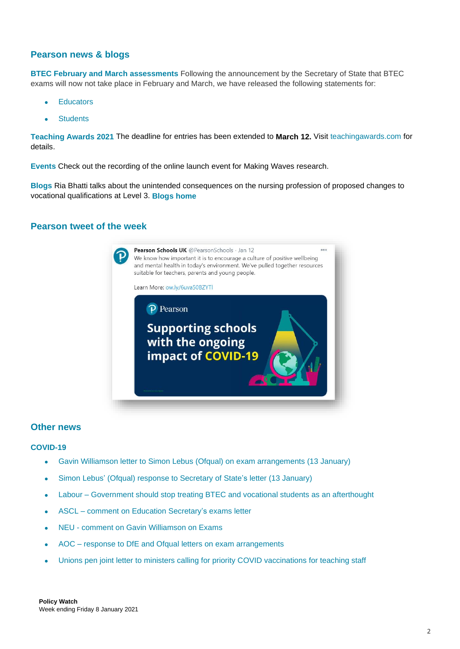## **Pearson news & blogs**

**[BTEC February and March](https://www.pearson.com/uk/about-us/news-and-policy/news/2021/01/btec-learner-update-on-examinations-going-ahead-5jan-2021.html) assessments** Following the announcement by the Secretary of State that BTEC exams will now not take place in February and March, we have released the following statements for:

- **[Educators](pear.sn/iRPA50D7iP3)**
- **[Students](http://pear.sn/ViH250D7i1X)**

**[Teaching Awards 2021](https://www.teachingawards.com/)** The deadline for entries has been extended to **March 12.** Visit [teachingawards.com](http://www.teachingawards.com/) for details.

**[Events](https://register.gotowebinar.com/register/7323979306112494861)** Check out the recording of the online launch event for Making Waves research.

**[Blogs](https://www.pearson.com/uk/about-us/news-and-policy/blogs.html)** Ria Bhatti talks about the unintended consequences on the nursing profession of proposed changes to vocational qualifications at Level 3. **[Blogs home](https://www.pearson.com/uk/about-us/news-and-policy/blogs.html)**

## **Pearson tweet of the week**



#### **Other news**

#### **COVID-19**

- Gavin Williamson letter to Simon Lebus (Ofqual) on exam [arrangements](8https:/www.gov.uk/government/publications/letter-from-gavin-williamson-to-simon-lebus) (13 January)
- Simon Lebus' (Ofqual) response to [Secretary](https://www.gov.uk/government/publications/simon-lebus-responds-to-the-secretary-of-states-letter-of-13-january-2021) of State's letter (13 January)
- Labour [Government](https://labour.org.uk/press/government-must-stop-treating-btec-and-vocational-students-as-an-afterthought-toby-perkins/) should stop treating BTEC and vocational students as an afterthought
- ASCL comment on Education [Secretary's](https://www.ascl.org.uk/News/Our-news-and-press-releases/ASCL-comment-on-Education-Secretary%E2%80%99s-exams-letter) exams letter
- NEU comment on Gavin [Williamson](https://neu.org.uk/press-releases/gavin-williamson-2021-exams) on Exams
- AOC response to DfE and Ofqual letters on exam [arrangements](https://www.aoc.co.uk/news/dfe-and-ofqual-exchange-letters-exam-arrangements-2021-aoc-responds)
- Unions pen joint letter to ministers calling for priority COVID [vaccinations](https://ucu.org.uk/media/11294/Joint-vaccine-letter/pdf/Joint_vaccine_letter_120121_final_002.pdf) for teaching staff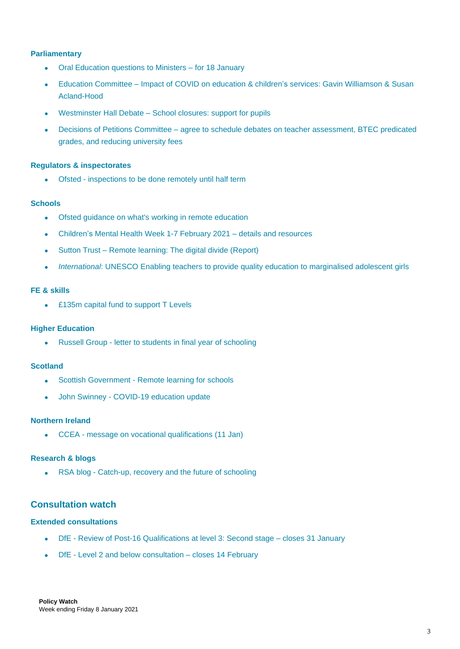## **Parliamentary**

- Oral [Education](https://commonsbusiness.parliament.uk/document/44483/html) questions to Ministers for 18 January
- Education [Committee](https://committees.parliament.uk/event/3396/formal-meeting-oral-evidence-session/) Impact of COVID on education & children's services: Gavin Williamson & Susan [Acland-Hood](https://committees.parliament.uk/event/3396/formal-meeting-oral-evidence-session/)
- Westminster Hall Debate School [closures:](https://hansard.parliament.uk/commons/2021-01-13/debates/EDA06425-FC24-46E9-917D-954A142825A7/SchoolClosuresSupportForPupils) support for pupils
- Decisions of Petitions Committee agree to schedule debates on teacher [assessment,](https://committees.parliament.uk/committee/326/petitions-committee/news/138482/decisions-of-the-committee-12-januuary-2021/) BTEC predicated grades, and reducing [university](https://committees.parliament.uk/committee/326/petitions-committee/news/138482/decisions-of-the-committee-12-januuary-2021/) fees

#### **Regulators & inspectorates**

Ofsted - [inspections](https://www.gov.uk/government/news/ofsted-inspections-to-be-done-remotely-until-half-term) to be done remotely until half term

#### **Schools**

- Ofsted guidance on what's working in remote [education](https://www.gov.uk/government/publications/whats-working-well-in-remote-education/whats-working-well-in-remote-education)
- [Children's](https://www.childrensmentalhealthweek.org.uk/) Mental Health Week 1-7 February 2021 details and resources
- Sutton Trust Remote [learning:](https://www.suttontrust.com/our-research/remote-learning-the-digital-divide/) The digital divide (Report)
- *International*: UNESCO Enabling teachers to provide quality education to [marginalised](https://en.unesco.org/news/enabling-teachers-provide-quality-education-marginalised-adolescent-girls) adolescent girls

#### **FE & skills**

• £135m capital fund to [support](https://www.gov.uk/government/news/135m-boost-to-support-t-level-students-to-succeed) T Levels

#### **Higher Education**

• Russell Group - letter to students in final year of [schooling](https://www.russellgroup.ac.uk/news/russell-group-letter-to-students-in-final-years-of-schooling/)

#### **Scotland**

- Scottish [Government](https://www.gov.scot/news/remote-learning-for-schools/) Remote learning for schools
- John Swinney [COVID-19](https://www.parliament.scot/parliamentarybusiness/report.aspx?r=13046&i=118020) education update

### **Northern Ireland**

• CCEA - message on vocational [qualifications](https://ccea.org.uk/news/2021/january/message-regarding-vocational-qualifications) (11 Jan)

#### **Research & blogs**

• RSA blog - [Catch-up,](https://www.thersa.org/comment/2021/01/catch-up-recovery-and-the-future-of-schooling) recovery and the future of schooling

## **Consultation watch**

#### **Extended consultations**

- DfE Review of Post-16 [Qualifications](https://consult.education.gov.uk/post-16-qualifications-review-team/review-of-post-16-qualifications-at-level-3/) at level 3: Second stage closes 31 January
- DfE Level 2 and below [consultation](https://consult.education.gov.uk/post-16-qualifications-review-team/level-2-and-below-call-for-evidence/) closes 14 February